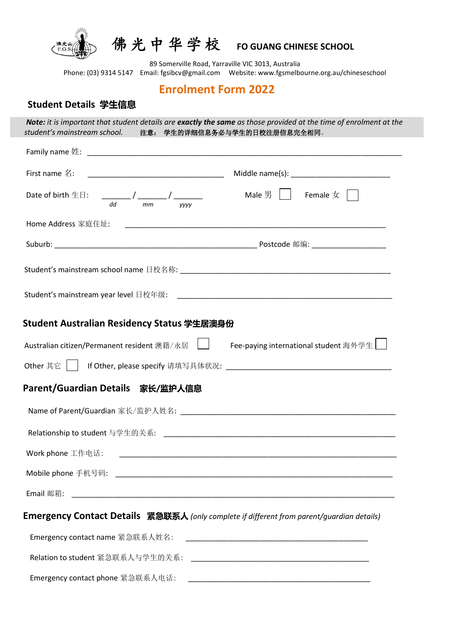

佛 光 中 华 学 校 **FO GUANG CHINESE SCHOOL**

89 Somerville Road, Yarraville VIC 3013, Australia Phone: (03) 9314 5147 Email[: fgsibcv@gmail.com](mailto:fgsibcv@gmail.com) Website: www.fgsmelbourne.org.au/chineseschool

# **Enrolment Form 2022**

## **Student Details 学生信息**

j

 *Note: it is important that student details are exactly the same as those provided at the time of enrolment at the student's mainstream school.* 注意: 学生的详细信息务必与学生的日校注册信息完全相同。

| First name $4$ :                            |                                                                                                                           |
|---------------------------------------------|---------------------------------------------------------------------------------------------------------------------------|
| dd<br>mm<br><b>VVVV</b>                     | Male 男 │ │     Female $\mathrm{\not\!{z}}$ │ │                                                                            |
|                                             |                                                                                                                           |
|                                             |                                                                                                                           |
|                                             |                                                                                                                           |
|                                             |                                                                                                                           |
| Student Australian Residency Status 学生居澳身份  |                                                                                                                           |
| Australian citizen/Permanent resident 澳籍/永居 | Fee-paying international student 海外学生<br>Other 其它     If Other, please specify 请填写具体状况: _________________________________ |
| Parent/Guardian Details 家长/监护人信息            |                                                                                                                           |
|                                             |                                                                                                                           |
|                                             |                                                                                                                           |
|                                             |                                                                                                                           |
|                                             |                                                                                                                           |
|                                             |                                                                                                                           |

| Emergency contact name 紧急联系人姓名:  |  |
|----------------------------------|--|
| Relation to student 紧急联系人与学生的关系: |  |
| Emergency contact phone 紧急联系人电话: |  |